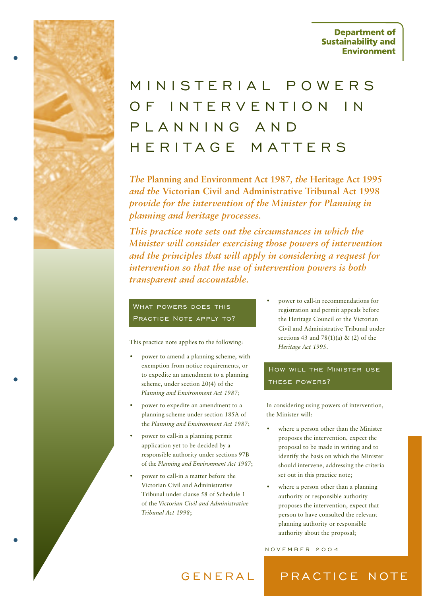**Department of Sustainability and Environment** 

# MINISTERIAL POWERSOF INTERVENTION INPLANNING ANDHERITAGE MATTERS

*The* **Planning and Environment Act 1987***, the* **Heritage Act 1995** *and the* **Victorian Civil and Administrative Tribunal Act 1998** *provide for the intervention of the Minister for Planning in planning and heritage processes.*

*This practice note sets out the circumstances in which the Minister will consider exercising those powers of intervention and the principles that will apply in considering a request for intervention so that the use of intervention powers is both transparent and accountable.*

# What powers does this Practice Note apply to?

This practice note applies to the following:

- power to amend a planning scheme, with exemption from notice requirements, or to expedite an amendment to a planning scheme, under section 20(4) of the *Planning and Environment Act 1987*;
- power to expedite an amendment to a planning scheme under section 185A of the *Planning and Environment Act 1987*;
- power to call-in a planning permit application yet to be decided by a responsible authority under sections 97B of the *Planning and Environment Act 1987*;
- power to call-in a matter before the Victorian Civil and Administrative Tribunal under clause 58 of Schedule 1 of the *Victorian Civil and Administrative Tribunal Act 1998*;

• power to call-in recommendations for registration and permit appeals before the Heritage Council or the Victorian Civil and Administrative Tribunal under sections 43 and 78(1)(a) & (2) of the *Heritage Act 1995*.

# How will the Minister use these powers?

In considering using powers of intervention, the Minister will:

- where a person other than the Minister proposes the intervention, expect the proposal to be made in writing and to identify the basis on which the Minister should intervene, addressing the criteria set out in this practice note;
- where a person other than a planning authority or responsible authority proposes the intervention, expect that person to have consulted the relevant planning authority or responsible authority about the proposal;

#### NOVEMBER 2004

## GENERAL PRACTICE NOTE